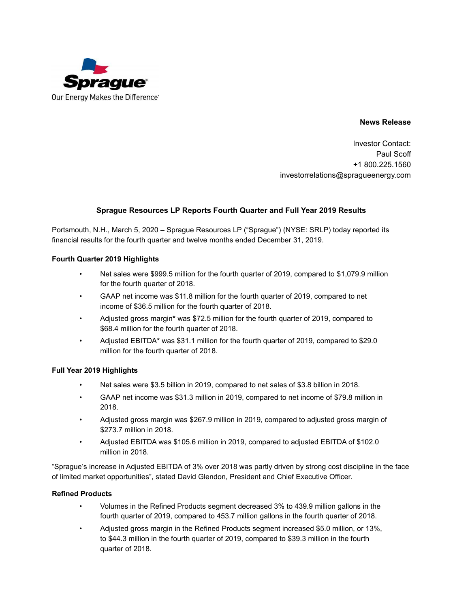

## **News Release**

Investor Contact: Paul Scoff +1 800.225.1560 investorrelations@spragueenergy.com

## **Sprague Resources LP Reports Fourth Quarter and Full Year 2019 Results**

Portsmouth, N.H., March 5, 2020 – Sprague Resources LP ("Sprague") (NYSE: SRLP) today reported its financial results for the fourth quarter and twelve months ended December 31, 2019.

## **Fourth Quarter 2019 Highlights**

- Net sales were \$999.5 million for the fourth quarter of 2019, compared to \$1,079.9 million for the fourth quarter of 2018.
- GAAP net income was \$11.8 million for the fourth quarter of 2019, compared to net income of \$36.5 million for the fourth quarter of 2018.
- Adjusted gross margin**\*** was \$72.5 million for the fourth quarter of 2019, compared to \$68.4 million for the fourth quarter of 2018.
- Adjusted EBITDA**\*** was \$31.1 million for the fourth quarter of 2019, compared to \$29.0 million for the fourth quarter of 2018.

## **Full Year 2019 Highlights**

- Net sales were \$3.5 billion in 2019, compared to net sales of \$3.8 billion in 2018.
- GAAP net income was \$31.3 million in 2019, compared to net income of \$79.8 million in 2018.
- Adjusted gross margin was \$267.9 million in 2019, compared to adjusted gross margin of \$273.7 million in 2018.
- Adjusted EBITDA was \$105.6 million in 2019, compared to adjusted EBITDA of \$102.0 million in 2018.

"Sprague's increase in Adjusted EBITDA of 3% over 2018 was partly driven by strong cost discipline in the face of limited market opportunities", stated David Glendon, President and Chief Executive Officer.

#### **Refined Products**

- Volumes in the Refined Products segment decreased 3% to 439.9 million gallons in the fourth quarter of 2019, compared to 453.7 million gallons in the fourth quarter of 2018.
- Adjusted gross margin in the Refined Products segment increased \$5.0 million, or 13%, to \$44.3 million in the fourth quarter of 2019, compared to \$39.3 million in the fourth quarter of 2018.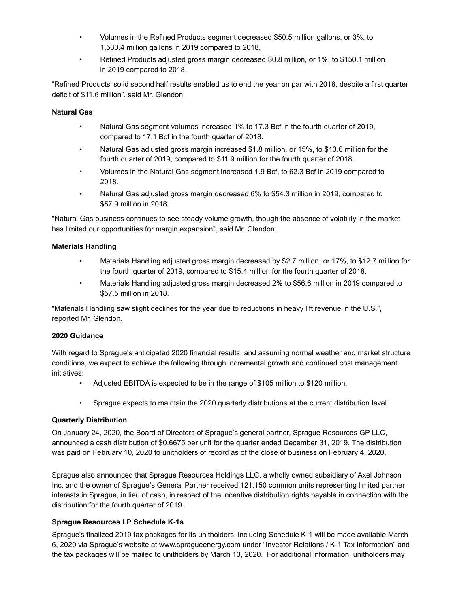- Volumes in the Refined Products segment decreased \$50.5 million gallons, or 3%, to 1,530.4 million gallons in 2019 compared to 2018.
- Refined Products adjusted gross margin decreased \$0.8 million, or 1%, to \$150.1 million in 2019 compared to 2018.

"Refined Products' solid second half results enabled us to end the year on par with 2018, despite a first quarter deficit of \$11.6 million", said Mr. Glendon.

## **Natural Gas**

- Natural Gas segment volumes increased 1% to 17.3 Bcf in the fourth quarter of 2019, compared to 17.1 Bcf in the fourth quarter of 2018.
- Natural Gas adjusted gross margin increased \$1.8 million, or 15%, to \$13.6 million for the fourth quarter of 2019, compared to \$11.9 million for the fourth quarter of 2018.
- Volumes in the Natural Gas segment increased 1.9 Bcf, to 62.3 Bcf in 2019 compared to 2018.
- Natural Gas adjusted gross margin decreased 6% to \$54.3 million in 2019, compared to \$57.9 million in 2018.

"Natural Gas business continues to see steady volume growth, though the absence of volatility in the market has limited our opportunities for margin expansion", said Mr. Glendon.

## **Materials Handling**

- Materials Handling adjusted gross margin decreased by \$2.7 million, or 17%, to \$12.7 million for the fourth quarter of 2019, compared to \$15.4 million for the fourth quarter of 2018.
- Materials Handling adjusted gross margin decreased 2% to \$56.6 million in 2019 compared to \$57.5 million in 2018.

"Materials Handling saw slight declines for the year due to reductions in heavy lift revenue in the U.S.", reported Mr. Glendon.

#### **2020 Guidance**

With regard to Sprague's anticipated 2020 financial results, and assuming normal weather and market structure conditions, we expect to achieve the following through incremental growth and continued cost management initiatives:

- Adjusted EBITDA is expected to be in the range of \$105 million to \$120 million.
- Sprague expects to maintain the 2020 quarterly distributions at the current distribution level.

#### **Quarterly Distribution**

On January 24, 2020, the Board of Directors of Sprague's general partner, Sprague Resources GP LLC, announced a cash distribution of \$0.6675 per unit for the quarter ended December 31, 2019. The distribution was paid on February 10, 2020 to unitholders of record as of the close of business on February 4, 2020.

Sprague also announced that Sprague Resources Holdings LLC, a wholly owned subsidiary of Axel Johnson Inc. and the owner of Sprague's General Partner received 121,150 common units representing limited partner interests in Sprague, in lieu of cash, in respect of the incentive distribution rights payable in connection with the distribution for the fourth quarter of 2019.

#### **Sprague Resources LP Schedule K-1s**

Sprague's finalized 2019 tax packages for its unitholders, including Schedule K-1 will be made available March 6, 2020 via Sprague's website at www.spragueenergy.com under "Investor Relations / K-1 Tax Information" and the tax packages will be mailed to unitholders by March 13, 2020. For additional information, unitholders may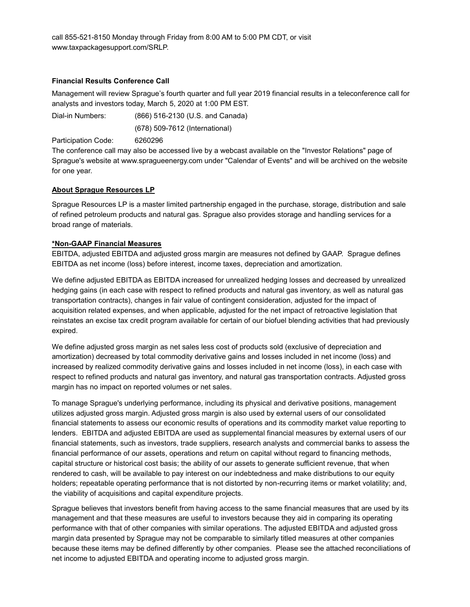call 855-521-8150 Monday through Friday from 8:00 AM to 5:00 PM CDT, or visit www.taxpackagesupport.com/SRLP.

#### **Financial Results Conference Call**

Management will review Sprague's fourth quarter and full year 2019 financial results in a teleconference call for analysts and investors today, March 5, 2020 at 1:00 PM EST.

Dial-in Numbers: (866) 516-2130 (U.S. and Canada) (678) 509-7612 (International)

Participation Code: 6260296

The conference call may also be accessed live by a webcast available on the "Investor Relations" page of Sprague's website at www.spragueenergy.com under "Calendar of Events" and will be archived on the website for one year.

#### **About Sprague Resources LP**

Sprague Resources LP is a master limited partnership engaged in the purchase, storage, distribution and sale of refined petroleum products and natural gas. Sprague also provides storage and handling services for a broad range of materials.

#### **\*Non-GAAP Financial Measures**

EBITDA, adjusted EBITDA and adjusted gross margin are measures not defined by GAAP. Sprague defines EBITDA as net income (loss) before interest, income taxes, depreciation and amortization.

We define adjusted EBITDA as EBITDA increased for unrealized hedging losses and decreased by unrealized hedging gains (in each case with respect to refined products and natural gas inventory, as well as natural gas transportation contracts), changes in fair value of contingent consideration, adjusted for the impact of acquisition related expenses, and when applicable, adjusted for the net impact of retroactive legislation that reinstates an excise tax credit program available for certain of our biofuel blending activities that had previously expired.

We define adjusted gross margin as net sales less cost of products sold (exclusive of depreciation and amortization) decreased by total commodity derivative gains and losses included in net income (loss) and increased by realized commodity derivative gains and losses included in net income (loss), in each case with respect to refined products and natural gas inventory, and natural gas transportation contracts. Adjusted gross margin has no impact on reported volumes or net sales.

To manage Sprague's underlying performance, including its physical and derivative positions, management utilizes adjusted gross margin. Adjusted gross margin is also used by external users of our consolidated financial statements to assess our economic results of operations and its commodity market value reporting to lenders. EBITDA and adjusted EBITDA are used as supplemental financial measures by external users of our financial statements, such as investors, trade suppliers, research analysts and commercial banks to assess the financial performance of our assets, operations and return on capital without regard to financing methods, capital structure or historical cost basis; the ability of our assets to generate sufficient revenue, that when rendered to cash, will be available to pay interest on our indebtedness and make distributions to our equity holders; repeatable operating performance that is not distorted by non-recurring items or market volatility; and, the viability of acquisitions and capital expenditure projects.

Sprague believes that investors benefit from having access to the same financial measures that are used by its management and that these measures are useful to investors because they aid in comparing its operating performance with that of other companies with similar operations. The adjusted EBITDA and adjusted gross margin data presented by Sprague may not be comparable to similarly titled measures at other companies because these items may be defined differently by other companies. Please see the attached reconciliations of net income to adjusted EBITDA and operating income to adjusted gross margin.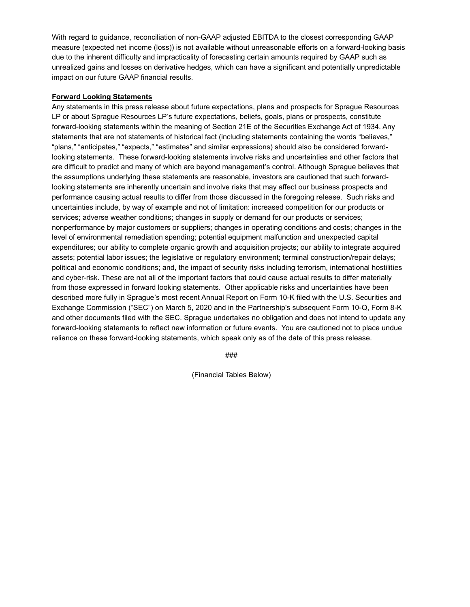With regard to guidance, reconciliation of non-GAAP adjusted EBITDA to the closest corresponding GAAP measure (expected net income (loss)) is not available without unreasonable efforts on a forward-looking basis due to the inherent difficulty and impracticality of forecasting certain amounts required by GAAP such as unrealized gains and losses on derivative hedges, which can have a significant and potentially unpredictable impact on our future GAAP financial results.

### **Forward Looking Statements**

Any statements in this press release about future expectations, plans and prospects for Sprague Resources LP or about Sprague Resources LP's future expectations, beliefs, goals, plans or prospects, constitute forward-looking statements within the meaning of Section 21E of the Securities Exchange Act of 1934. Any statements that are not statements of historical fact (including statements containing the words "believes," "plans," "anticipates," "expects," "estimates" and similar expressions) should also be considered forwardlooking statements. These forward-looking statements involve risks and uncertainties and other factors that are difficult to predict and many of which are beyond management's control. Although Sprague believes that the assumptions underlying these statements are reasonable, investors are cautioned that such forwardlooking statements are inherently uncertain and involve risks that may affect our business prospects and performance causing actual results to differ from those discussed in the foregoing release. Such risks and uncertainties include, by way of example and not of limitation: increased competition for our products or services; adverse weather conditions; changes in supply or demand for our products or services; nonperformance by major customers or suppliers; changes in operating conditions and costs; changes in the level of environmental remediation spending; potential equipment malfunction and unexpected capital expenditures; our ability to complete organic growth and acquisition projects; our ability to integrate acquired assets; potential labor issues; the legislative or regulatory environment; terminal construction/repair delays; political and economic conditions; and, the impact of security risks including terrorism, international hostilities and cyber-risk. These are not all of the important factors that could cause actual results to differ materially from those expressed in forward looking statements. Other applicable risks and uncertainties have been described more fully in Sprague's most recent Annual Report on Form 10-K filed with the U.S. Securities and Exchange Commission ("SEC") on March 5, 2020 and in the Partnership's subsequent Form 10-Q, Form 8-K and other documents filed with the SEC. Sprague undertakes no obligation and does not intend to update any forward-looking statements to reflect new information or future events. You are cautioned not to place undue reliance on these forward-looking statements, which speak only as of the date of this press release.

###

(Financial Tables Below)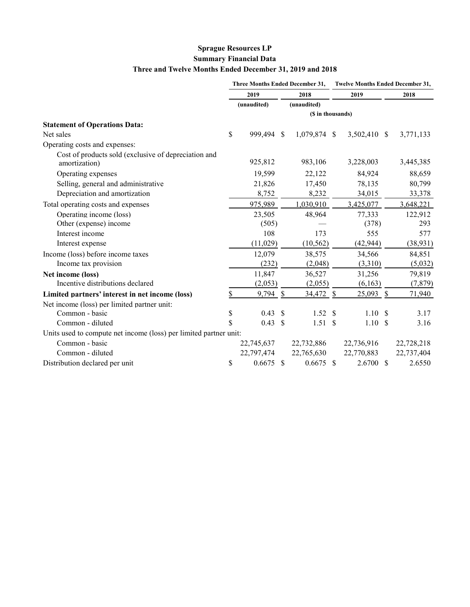# **Sprague Resources LP Summary Financial Data Three and Twelve Months Ended December 31, 2019 and 2018**

|                                                                       | Three Months Ended December 31, |                    |                     |              | <b>Twelve Months Ended December 31,</b> |              |  |            |  |
|-----------------------------------------------------------------------|---------------------------------|--------------------|---------------------|--------------|-----------------------------------------|--------------|--|------------|--|
|                                                                       | 2019<br>(unaudited)             |                    | 2018<br>(unaudited) |              | 2019                                    |              |  | 2018       |  |
|                                                                       |                                 |                    |                     |              |                                         |              |  |            |  |
|                                                                       | (\$ in thousands)               |                    |                     |              |                                         |              |  |            |  |
| <b>Statement of Operations Data:</b>                                  |                                 |                    |                     |              |                                         |              |  |            |  |
| Net sales                                                             | \$                              | 999,494 \$         |                     | 1,079,874 \$ |                                         | 3,502,410 \$ |  | 3,771,133  |  |
| Operating costs and expenses:                                         |                                 |                    |                     |              |                                         |              |  |            |  |
| Cost of products sold (exclusive of depreciation and<br>amortization) |                                 | 925,812            |                     | 983,106      |                                         | 3,228,003    |  | 3,445,385  |  |
| Operating expenses                                                    |                                 | 19,599             |                     | 22,122       |                                         | 84,924       |  | 88,659     |  |
| Selling, general and administrative                                   |                                 | 21,826             |                     | 17,450       |                                         | 78,135       |  | 80,799     |  |
| Depreciation and amortization                                         |                                 | 8,752              |                     | 8,232        |                                         | 34,015       |  | 33,378     |  |
| Total operating costs and expenses                                    |                                 | 975,989            |                     | 1,030,910    |                                         | 3,425,077    |  | 3,648,221  |  |
| Operating income (loss)                                               |                                 | 23,505             |                     | 48,964       |                                         | 77,333       |  | 122,912    |  |
| Other (expense) income                                                |                                 | (505)              |                     |              |                                         | (378)        |  | 293        |  |
| Interest income                                                       |                                 | 108                |                     | 173          |                                         | 555          |  | 577        |  |
| Interest expense                                                      |                                 | (11,029)           |                     | (10, 562)    |                                         | (42, 944)    |  | (38, 931)  |  |
| Income (loss) before income taxes                                     |                                 | 12,079             |                     | 38,575       |                                         | 34,566       |  | 84,851     |  |
| Income tax provision                                                  |                                 | (232)              |                     | (2,048)      |                                         | (3,310)      |  | (5,032)    |  |
| Net income (loss)                                                     |                                 | 11,847             |                     | 36,527       |                                         | 31,256       |  | 79,819     |  |
| Incentive distributions declared                                      |                                 | (2,053)            |                     | (2,055)      |                                         | (6,163)      |  | (7, 879)   |  |
| Limited partners' interest in net income (loss)                       | \$                              | $9,794$ \$         |                     | 34,472       | $\mathbb{S}$                            | $25,093$ \$  |  | 71,940     |  |
| Net income (loss) per limited partner unit:                           |                                 |                    |                     |              |                                         |              |  |            |  |
| Common - basic                                                        | \$                              | 0.43               | -\$                 | 1.52         | \$                                      | 1.10S        |  | 3.17       |  |
| Common - diluted                                                      | \$                              | $0.43 \text{ }$ \$ |                     | 1.51S        |                                         | 1.10S        |  | 3.16       |  |
| Units used to compute net income (loss) per limited partner unit:     |                                 |                    |                     |              |                                         |              |  |            |  |
| Common - basic                                                        |                                 | 22,745,637         |                     | 22,732,886   |                                         | 22,736,916   |  | 22,728,218 |  |
| Common - diluted                                                      |                                 | 22,797,474         |                     | 22,765,630   |                                         | 22,770,883   |  | 22,737,404 |  |
| Distribution declared per unit                                        | \$                              | $0.6675$ \$        |                     | $0.6675$ \$  |                                         | $2.6700$ \$  |  | 2.6550     |  |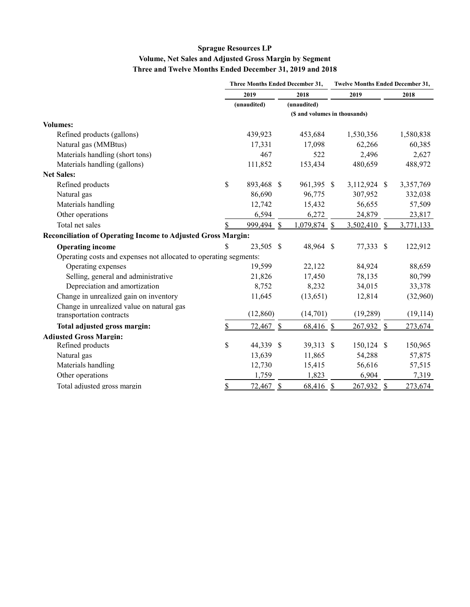# **Sprague Resources LP Volume, Net Sales and Adjusted Gross Margin by Segment Three and Twelve Months Ended December 31, 2019 and 2018**

|                                                                     |                               | <b>Three Months Ended December 31,</b> |               |             |               | <b>Twelve Months Ended December 31,</b> |               |           |  |  |
|---------------------------------------------------------------------|-------------------------------|----------------------------------------|---------------|-------------|---------------|-----------------------------------------|---------------|-----------|--|--|
|                                                                     |                               | 2019                                   |               | 2018        |               | 2019                                    |               | 2018      |  |  |
|                                                                     |                               | (unaudited)                            |               | (unaudited) |               |                                         |               |           |  |  |
|                                                                     | (\$ and volumes in thousands) |                                        |               |             |               |                                         |               |           |  |  |
| <b>Volumes:</b>                                                     |                               |                                        |               |             |               |                                         |               |           |  |  |
| Refined products (gallons)                                          |                               | 439,923                                |               | 453,684     |               | 1,530,356                               |               | 1,580,838 |  |  |
| Natural gas (MMBtus)                                                |                               | 17,331                                 |               | 17,098      |               | 62,266                                  |               | 60,385    |  |  |
| Materials handling (short tons)                                     |                               | 467                                    |               | 522         |               | 2,496                                   |               | 2,627     |  |  |
| Materials handling (gallons)                                        |                               | 111,852                                |               | 153,434     |               | 480,659                                 |               | 488,972   |  |  |
| <b>Net Sales:</b>                                                   |                               |                                        |               |             |               |                                         |               |           |  |  |
| Refined products                                                    | \$                            | 893,468                                | -\$           | 961,395 \$  |               | 3,112,924 \$                            |               | 3,357,769 |  |  |
| Natural gas                                                         |                               | 86,690                                 |               | 96,775      |               | 307,952                                 |               | 332,038   |  |  |
| Materials handling                                                  |                               | 12,742                                 |               | 15,432      |               | 56,655                                  |               | 57,509    |  |  |
| Other operations                                                    |                               | 6,594                                  |               | 6,272       |               | 24,879                                  |               | 23,817    |  |  |
| Total net sales                                                     |                               | 999,494                                | $\mathbb{S}$  | 1,079,874   | $\mathcal{S}$ | 3,502,410                               | $\mathbb{S}$  | 3,771,133 |  |  |
| <b>Reconciliation of Operating Income to Adjusted Gross Margin:</b> |                               |                                        |               |             |               |                                         |               |           |  |  |
| <b>Operating income</b>                                             | S                             | 23,505 \$                              |               | 48,964 \$   |               | 77,333 \$                               |               | 122,912   |  |  |
| Operating costs and expenses not allocated to operating segments:   |                               |                                        |               |             |               |                                         |               |           |  |  |
| Operating expenses                                                  |                               | 19,599                                 |               | 22,122      |               | 84,924                                  |               | 88,659    |  |  |
| Selling, general and administrative                                 |                               | 21,826                                 |               | 17,450      |               | 78,135                                  |               | 80,799    |  |  |
| Depreciation and amortization                                       |                               | 8,752                                  |               | 8,232       |               | 34,015                                  |               | 33,378    |  |  |
| Change in unrealized gain on inventory                              |                               | 11,645                                 |               | (13, 651)   |               | 12,814                                  |               | (32,960)  |  |  |
| Change in unrealized value on natural gas                           |                               |                                        |               |             |               |                                         |               |           |  |  |
| transportation contracts                                            |                               | (12, 860)                              |               | (14,701)    |               | (19, 289)                               |               | (19, 114) |  |  |
| Total adjusted gross margin:                                        |                               | 72,467                                 | $\frac{1}{2}$ | $68,416$ \$ |               | $267,932$ \$                            |               | 273,674   |  |  |
| <b>Adjusted Gross Margin:</b>                                       |                               |                                        |               |             |               |                                         |               |           |  |  |
| Refined products                                                    | \$                            | 44,339                                 | -S            | 39,313      | $\mathbf{\$}$ | 150,124 \$                              |               | 150,965   |  |  |
| Natural gas                                                         |                               | 13,639                                 |               | 11,865      |               | 54,288                                  |               | 57,875    |  |  |
| Materials handling                                                  |                               | 12,730                                 |               | 15,415      |               | 56,616                                  |               | 57,515    |  |  |
| Other operations                                                    |                               | 1,759                                  |               | 1,823       |               | 6,904                                   |               | 7,319     |  |  |
| Total adjusted gross margin                                         | \$                            | 72,467                                 | $\frac{1}{2}$ | 68,416      | $\frac{1}{2}$ | 267,932                                 | $\frac{1}{2}$ | 273,674   |  |  |